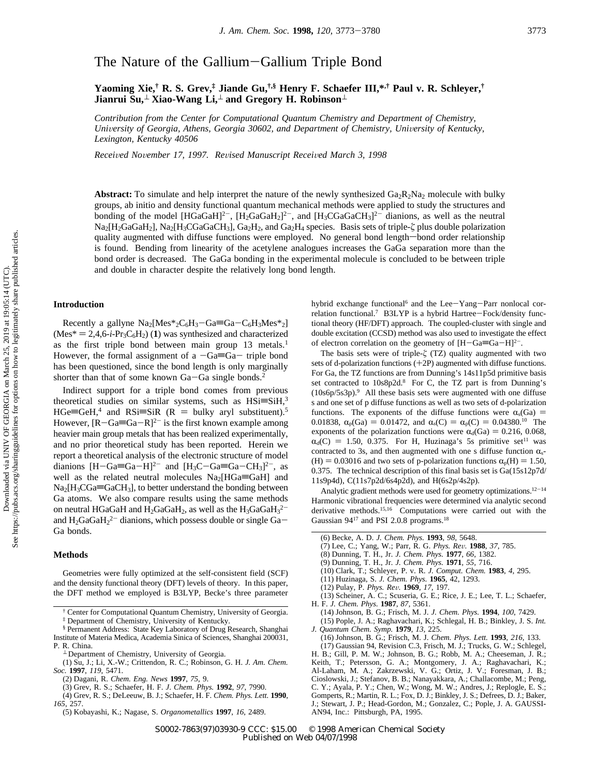# The Nature of the Gallium-Gallium Triple Bond

**Yaoming Xie,† R. S. Grev,‡ Jiande Gu,†,§ Henry F. Schaefer III,\*,† Paul v. R. Schleyer,† Jianrui Su,**<sup>⊥</sup> **Xiao-Wang Li,**<sup>⊥</sup> **and Gregory H. Robinson**<sup>⊥</sup>

*Contribution from the Center for Computational Quantum Chemistry and Department of Chemistry, University of Georgia, Athens, Georgia 30602, and Department of Chemistry, University of Kentucky, Lexington, Kentucky 40506*

*Recei*V*ed No*V*ember 17, 1997. Re*V*ised Manuscript Recei*V*ed March 3, 1998*

**Abstract:** To simulate and help interpret the nature of the newly synthesized  $Ga_2R_2Na_2$  molecule with bulky groups, ab initio and density functional quantum mechanical methods were applied to study the structures and bonding of the model  $[HGaGaH]^{2-}$ ,  $[H_2GaGaH_2]^{2-}$ , and  $[H_3CGaGaCH_3]^{2-}$  dianions, as well as the neutral Na<sub>2</sub>[H<sub>2</sub>GaGaH<sub>2</sub>], Na<sub>2</sub>[H<sub>3</sub>CGaGaCH<sub>3</sub>], Ga<sub>2</sub>H<sub>2</sub>, and Ga<sub>2</sub>H<sub>4</sub> species. Basis sets of triple-ζ plus double polarization quality augmented with diffuse functions were employed. No general bond length-bond order relationship is found. Bending from linearity of the acetylene analogues increases the GaGa separation more than the bond order is decreased. The GaGa bonding in the experimental molecule is concluded to be between triple and double in character despite the relatively long bond length.

#### **Introduction**

Recently a gallyne  $Na_2[Mes^*{}_{2}C_6H_3-Ga \equiv Ga-C_6H_3Mes^*{}_{2}]$  $(Mes^* = 2, 4, 6-i-Pr<sub>3</sub>C<sub>6</sub>H<sub>2</sub>)$  (1) was synthesized and characterized as the first triple bond between main group 13 metals.<sup>1</sup> However, the formal assignment of a  $-Ga \equiv Ga -$  triple bond has been questioned, since the bond length is only marginally shorter than that of some known Ga-Ga single bonds.<sup>2</sup>

Indirect support for a triple bond comes from previous theoretical studies on similar systems, such as  $HSi = SiH<sup>3</sup>$  $HGe \equiv GeH$ ,<sup>4</sup> and RSi $\equiv$ SiR (R = bulky aryl substituent).<sup>5</sup> However,  $[R-Ga=R]^2$  is the first known example among heavier main group metals that has been realized experimentally, and no prior theoretical study has been reported. Herein we report a theoretical analysis of the electronic structure of model dianions  $[H-Ga=Ga-H]^2$  and  $[H_3C-Ga=Ga-CH_3]^2$ , as well as the related neutral molecules  $Na<sub>2</sub>[HGa \equiv GaH]$  and  $Na<sub>2</sub>[H<sub>3</sub>CGa=GaCH<sub>3</sub>]$ , to better understand the bonding between Ga atoms. We also compare results using the same methods on neutral HGaGaH and  $H_2$ GaGa $H_2$ , as well as the  $H_3$ GaGa $H_3^{2-}$ and  $H_2GaGaH_2^{2-}$  dianions, which possess double or single  $Ga-$ Ga bonds.

## **Methods**

Geometries were fully optimized at the self-consistent field (SCF) and the density functional theory (DFT) levels of theory. In this paper, the DFT method we employed is B3LYP, Becke's three parameter hybrid exchange functional<sup>6</sup> and the Lee-Yang-Parr nonlocal correlation functional.7 B3LYP is a hybrid Hartree-Fock/density functional theory (HF/DFT) approach. The coupled-cluster with single and double excitation (CCSD) method was also used to investigate the effect of electron correlation on the geometry of  $[H-Ga\equiv Ga-H]^{2-}$ .

The basis sets were of triple-*ú* (TZ) quality augmented with two sets of d-polarization functions (+2P) augmented with diffuse functions. For Ga, the TZ functions are from Dunning's 14s11p5d primitive basis set contracted to 10s8p2d.<sup>8</sup> For C, the TZ part is from Dunning's (10s6p/5s3p).9 All these basis sets were augmented with one diffuse s and one set of p diffuse functions as well as two sets of d-polarization functions. The exponents of the diffuse functions were  $\alpha_s(Ga)$  = 0.01838,  $\alpha_p(Ga) = 0.01472$ , and  $\alpha_s(C) = \alpha_p(C) = 0.04380^{10}$  The exponents of the polarization functions were  $\alpha_d(Ga) = 0.216, 0.068$ ,  $\alpha_d(C) = 1.50$ , 0.375. For H, Huzinaga's 5s primitive set<sup>11</sup> was contracted to 3s, and then augmented with one s diffuse function  $\alpha_s$ - $(H) = 0.03016$  and two sets of p-polarization functions  $\alpha_p(H) = 1.50$ , 0.375. The technical description of this final basis set is Ga(15s12p7d/ 11s9p4d), C(11s7p2d/6s4p2d), and H(6s2p/4s2p).

Analytic gradient methods were used for geometry optimizations.<sup>12-14</sup> Harmonic vibrational frequencies were determined via analytic second derivative methods.<sup>15,16</sup> Computations were carried out with the Gaussian 94<sup>17</sup> and PSI 2.0.8 programs.<sup>18</sup>

- (7) Lee, C.; Yang, W.; Parr, R. G. *Phys. Re*V*.* **<sup>1988</sup>**, *<sup>37</sup>*, 785.
- (8) Dunning, T. H., Jr. *J. Chem. Phys.* **1977**, *66*, 1382.
- (9) Dunning, T. H., Jr. *J. Chem. Phys.* **1971**, *55,* 716.
- (10) Clark, T.; Schleyer, P. v. R. *J. Comput. Chem.* **1983**, *4*, 295.
- (11) Huzinaga, S. *J. Chem. Phys.* **1965**, 42, 1293.
- 
- (12) Pulay, P. *Phys. Re*V*.* **<sup>1969</sup>**, *17,* 197. (13) Scheiner, A. C.; Scuseria, G. E.; Rice, J. E.; Lee, T. L.; Schaefer,
- H. F. *J. Chem. Phys.* **1987**, *87,* 5361. (14) Johnson, B. G.; Frisch, M. J. *J. Chem. Phys.* **1994**, *100,* 7429.
- (15) Pople, J. A.; Raghavachari, K.; Schlegal, H. B.; Binkley, J. S. *Int. J. Quantum Chem. Symp.* **1979**, *13,* 225.
- (16) Johnson, B. G.; Frisch, M. J. *Chem. Phys. Lett.* **1993**, *216,* 133. (17) Gaussian 94, Revision C.3, Frisch, M. J.; Trucks, G. W.; Schlegel,
- H. B.; Gill, P. M. W.; Johnson, B. G.; Robb, M. A.; Cheeseman, J. R.; Keith, T.; Petersson, G. A.; Montgomery, J. A.; Raghavachari, K.; Al-Laham, M. A.; Zakrzewski, V. G.; Ortiz, J. V.; Foresman, J. B.; Cioslowski, J.; Stefanov, B. B.; Nanayakkara, A.; Challacombe, M.; Peng, C. Y.; Ayala, P. Y.; Chen, W.; Wong, M. W.; Andres, J.; Replogle, E. S.; Gomperts, R.; Martin, R. L.; Fox, D. J.; Binkley, J. S.; Defrees, D. J.; Baker, J.; Stewart, J. P.; Head-Gordon, M.; Gonzalez, C.; Pople, J. A. GAUSSI-AN94, Inc.: Pittsburgh, PA, 1995.

<sup>†</sup> Center for Computational Quantum Chemistry, University of Georgia.

<sup>‡</sup> Department of Chemistry, University of Kentucky.

<sup>§</sup> Permanent Address: State Key Laboratory of Drug Research, Shanghai Institute of Materia Medica, Academia Sinica of Sciences, Shanghai 200031,

<sup>⊥</sup> Department of Chemistry, University of Georgia.

<sup>(1)</sup> Su, J.; Li, X.-W.; Crittendon, R. C.; Robinson, G. H. *J. Am. Chem. Soc.* **1997**, *119*, 5471.

<sup>(2)</sup> Dagani, R. *Chem. Eng. News* **1997**, *75*, 9.

<sup>(3)</sup> Grev, R. S.; Schaefer, H. F. *J*. *Chem. Phys.* **1992**, *97*, 7990.

<sup>(4)</sup> Grev, R. S.; DeLeeuw, B. J.; Schaefer, H. F. *Chem. Phys. Lett.* **1990**, *165*, 257.

<sup>(5)</sup> Kobayashi, K.; Nagase, S. *Organometallics* **1997**, *16*, 2489.

<sup>(6)</sup> Becke, A. D. *J. Chem. Phys.* **1993**, *98,* 5648.

S0002-7863(97)03930-9 CCC: \$15.00 © 1998 American Chemical Society Published on Web 04/07/1998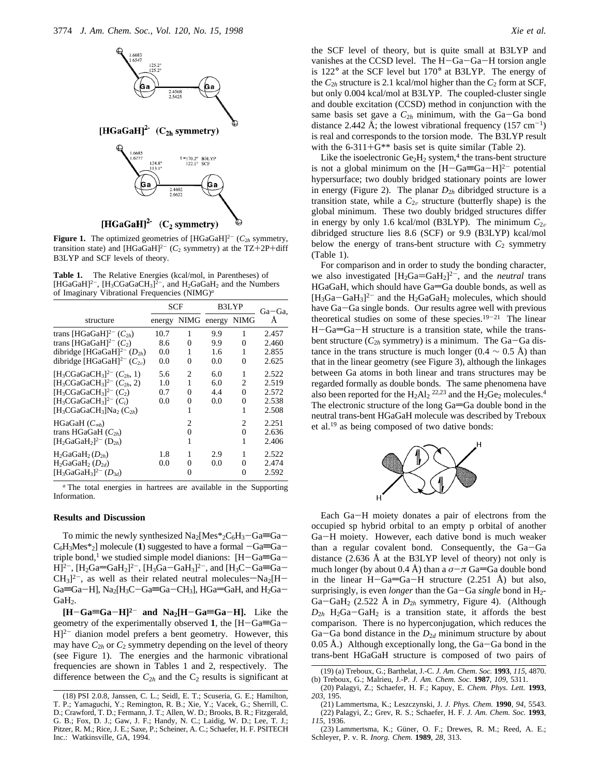

**Figure 1.** The optimized geometries of  $[HGaGaH]^{2-}$  ( $C_{2h}$  symmetry, transition state) and  $[HGaGaH]^{2-}$  ( $C_2$  symmetry) at the TZ+2P+diff B3LYP and SCF levels of theory.

**Table 1.** The Relative Energies (kcal/mol, in Parentheses) of [HGaGaH]<sup>2-</sup>, [H<sub>3</sub>CGaGaCH<sub>3</sub>]<sup>2-</sup>, and H<sub>2</sub>GaGaH<sub>2</sub> and the Numbers of Imaginary Vibrational Frequencies (NIMG)*<sup>a</sup>*

|                                                                            | SCF    |   | B3LYP            |   | Ga-Ga. |
|----------------------------------------------------------------------------|--------|---|------------------|---|--------|
| structure                                                                  | energy |   | NIMG energy NIMG |   | А      |
| trans [HGaGaH] <sup>2-</sup> $(C_{2h})$                                    | 10.7   | 1 | 9.9              | 1 | 2.457  |
| trans [HGaGaH] <sup>2-</sup> $(C_2)$                                       | 8.6    | 0 | 9.9              | 0 | 2.460  |
| dibridge [HGaGaH] <sup>2-</sup> $(D_{2h})$                                 | 0.0    | 1 | 1.6              | 1 | 2.855  |
| dibridge [HGaGaH] <sup>2-</sup> $(C_{2v})$                                 | 0.0    | 0 | 0.0              | 0 | 2.625  |
| [H <sub>3</sub> CGaGaCH <sub>3</sub> ] <sup>2-</sup> (C <sub>2h</sub> , 1) | 5.6    | 2 | 6.0              | 1 | 2.522  |
| $[H_3CGaGaCH_3]^{2-} (C_{2h}, 2)$                                          | 1.0    | 1 | 6.0              | 2 | 2.519  |
| $[H_3CGaGaCH_3]^{2-}(C_2)$                                                 | 0.7    | 0 | 4.4              | 0 | 2.572  |
| $[H_3CGaGaCH_3]^{2-} (C_i)$                                                | 0.0    | 0 | 0.0              | 0 | 2.538  |
| $[H_3CGaGaCH_3]Na_2(C_{2h})$                                               |        | 1 |                  | 1 | 2.508  |
| $HGaGaH (C_{\infty h})$                                                    |        | 2 |                  | 2 | 2.251  |
| trans HGaGaH $(C_{2h})$                                                    |        | 0 |                  | 0 | 2.636  |
| $[H_2GaGaH_2]^{2-} (D_{2h})$                                               |        | 1 |                  | 1 | 2.406  |
| $H_2GaGH_2(D_{2h})$                                                        | 1.8    | 1 | 2.9              | 1 | 2.522  |
| $H_2GaGaH_2$ $(D_{2d})$                                                    | 0.0    | 0 | 0.0              | 0 | 2.474  |
| $[H_3GaGaH_3]^{2-} (D_{3d})$                                               |        |   |                  | 0 | 2.592  |

*<sup>a</sup>* The total energies in hartrees are available in the Supporting Information.

# **Results and Discussion**

To mimic the newly synthesized  $Na<sub>2</sub>[Mes*<sub>2</sub>C<sub>6</sub>H<sub>3</sub>-Ga=Ga C_6H_3Mes*_{2}]$  molecule (1) suggested to have a formal  $-Ga \equiv Ga$ triple bond,<sup>1</sup> we studied simple model dianions:  $[H-Ga \equiv Ga H]^{2-}$ ,  $[H_2Ga=GaH_2]^{2-}$ ,  $[H_3Ga-GaH_3]^{2-}$ , and  $[H_3C-Ga=Ga-Ga$  $CH_3$ <sup>2-</sup>, as well as their related neutral molecules-Na<sub>2</sub>[H- $Ga=Ga-H$ ], Na<sub>2</sub>[H<sub>3</sub>C-Ga=Ga-CH<sub>3</sub>], HGa=GaH, and H<sub>2</sub>Ga-GaH<sub>2</sub>.

 $[H-Ga \equiv Ga - H]^2$  and  $Na_2[H-Ga \equiv Ga - H]$ . Like the geometry of the experimentally observed 1, the  $[H-Ga \equiv Ga H]^{2-}$  dianion model prefers a bent geometry. However, this may have  $C_{2h}$  or  $C_2$  symmetry depending on the level of theory (see Figure 1). The energies and the harmonic vibrational frequencies are shown in Tables 1 and 2, respectively. The difference between the  $C_{2h}$  and the  $C_2$  results is significant at the SCF level of theory, but is quite small at B3LYP and vanishes at the CCSD level. The H-Ga-Ga-H torsion angle is 122° at the SCF level but 170° at B3LYP. The energy of the  $C_{2h}$  structure is 2.1 kcal/mol higher than the  $C_2$  form at SCF, but only 0.004 kcal/mol at B3LYP. The coupled-cluster single and double excitation (CCSD) method in conjunction with the same basis set gave a  $C_{2h}$  minimum, with the Ga-Ga bond distance 2.442 Å; the lowest vibrational frequency  $(157 \text{ cm}^{-1})$ is real and corresponds to the torsion mode. The B3LYP result with the  $6-311+G^{**}$  basis set is quite similar (Table 2).

Like the isoelectronic  $Ge_2H_2$  system,<sup>4</sup> the trans-bent structure is not a global minimum on the  $[H-Ga \equiv Ga-H]^2$  potential hypersurface; two doubly bridged stationary points are lower in energy (Figure 2). The planar  $D_{2h}$  dibridged structure is a transition state, while a  $C_{2v}$  structure (butterfly shape) is the global minimum. These two doubly bridged structures differ in energy by only 1.6 kcal/mol (B3LYP). The minimum  $C_{2\nu}$ dibridged structure lies 8.6 (SCF) or 9.9 (B3LYP) kcal/mol below the energy of trans-bent structure with  $C_2$  symmetry (Table 1).

For comparison and in order to study the bonding character, we also investigated  $[H_2Ga = GaH_2]^2$ , and the *neutral* trans  $HGaGaH$ , which should have  $Ga=Ga$  double bonds, as well as  $[H_3Ga-GaH_3]^2$  and the  $H_2GaGaH_2$  molecules, which should have Ga-Ga single bonds. Our results agree well with previous theoretical studies on some of these species.<sup>19-21</sup> The linear  $H-Ga=Ga-H$  structure is a transition state, while the transbent structure  $(C_{2h}$  symmetry) is a minimum. The Ga–Ga distance in the trans structure is much longer (0.4  $\sim$  0.5 Å) than that in the linear geometry (see Figure 3), although the linkages between Ga atoms in both linear and trans structures may be regarded formally as double bonds. The same phenomena have also been reported for the  $H_2Al_2$ <sup>22,23</sup> and the  $H_2Ge_2$  molecules.<sup>4</sup> The electronic structure of the long  $Ga = Ga$  double bond in the neutral trans-bent HGaGaH molecule was described by Treboux et al.19 as being composed of two dative bonds:



Each Ga-H moiety donates a pair of electrons from the occupied sp hybrid orbital to an empty p orbital of another Ga-H moiety. However, each dative bond is much weaker than a regular covalent bond. Consequently, the Ga-Ga distance (2.636 Å at the B3LYP level of theory) not only is much longer (by about 0.4 Å) than a  $\sigma-\pi$  Ga=Ga double bond in the linear H-Ga=Ga-H structure  $(2.251 \text{ Å})$  but also, surprisingly, is even *longer* than the Ga-Ga *single* bond in H<sub>2</sub>-Ga-GaH<sub>2</sub> (2.522 Å in  $D_{2h}$  symmetry, Figure 4). (Although  $D_{2h}$  H<sub>2</sub>Ga-GaH<sub>2</sub> is a transition state, it affords the best comparison. There is no hyperconjugation, which reduces the Ga-Ga bond distance in the  $D_{2d}$  minimum structure by about 0.05 Å.) Although exceptionally long, the Ga-Ga bond in the trans-bent HGaGaH structure is composed of two pairs of

<sup>(18)</sup> PSI 2.0.8, Janssen, C. L.; Seidl, E. T.; Scuseria, G. E.; Hamilton, T. P.; Yamaguchi, Y.; Remington, R. B.; Xie, Y.; Vacek, G.; Sherrill, C. D.; Crawford, T. D.; Fermann, J. T.; Allen, W. D.; Brooks, B. R.; Fitzgerald, G. B.; Fox, D. J.; Gaw, J. F.; Handy, N. C.; Laidig, W. D.; Lee, T. J.; Pitzer, R. M.; Rice, J. E.; Saxe, P.; Scheiner, A. C.; Schaefer, H. F. PSITECH Inc.: Watkinsville, GA, 1994.

<sup>(19) (</sup>a) Treboux, G.; Barthelat, J.-C. *J. Am. Chem. Soc.* **1993**, *115*, 4870. (b) Treboux, G.; Malrieu, J.-P. *J. Am. Chem. Soc.* **1987**, *109*, 5311.

<sup>(20)</sup> Palagyi, Z.; Schaefer, H. F.; Kapuy, E. *Chem. Phys. Lett.* **1993**, *203*, 195.

<sup>(21)</sup> Lammertsma, K.; Leszczynski, J. *J. Phys. Chem.* **1990**, *94*, 5543. (22) Palagyi, Z.; Grev, R. S.; Schaefer, H. F. *J. Am. Chem. Soc.* **1993**, *115*, 1936.

<sup>(23)</sup> Lammertsma, K.; Güner, O. F.; Drewes, R. M.; Reed, A. E.; Schleyer, P. v. R. *Inorg. Chem.* **1989**, *28*, 313.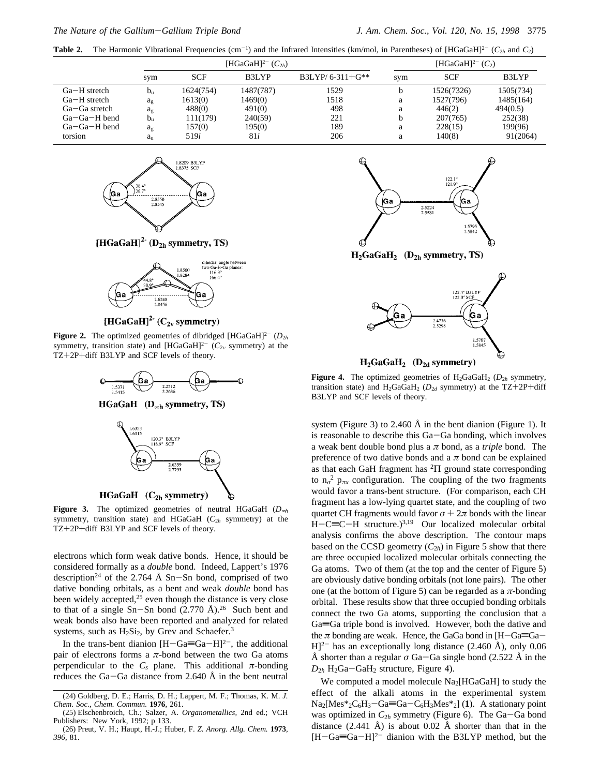**Table 2.** The Harmonic Vibrational Frequencies (cm<sup>-1</sup>) and the Infrared Intensities (km/mol, in Parentheses) of [HGaGaH]<sup>2-</sup> ( $C_{2h}$  and  $C_2$ )

|                    |                | [HGaGaH] <sup>2-</sup> $(C_{2h})$ |           |                   | [HGaGaH] <sup>2-</sup> $(C_2)$ |            |           |
|--------------------|----------------|-----------------------------------|-----------|-------------------|--------------------------------|------------|-----------|
|                    | sym            | <b>SCF</b>                        | B3LYP     | $B3LYP/6-311+G**$ | svm                            | <b>SCF</b> | B3LYP     |
| $Ga-H$ stretch     | $b_n$          | 1624(754)                         | 1487(787) | 1529              |                                | 1526(7326) | 1505(734) |
| $Ga-H$ stretch     | $a_{\rm g}$    | 1613(0)                           | 1469(0)   | 1518              | a                              | 1527(796)  | 1485(164) |
| $Ga-Ga$ stretch    | a <sub>g</sub> | 488(0)                            | 491(0)    | 498               | a                              | 446(2)     | 494(0.5)  |
| $Ga - Ga - H$ bend | $b_n$          | 111(179)                          | 240(59)   | 221               |                                | 207(765)   | 252(38)   |
| $Ga - Ga - H$ bend | $a_{\rm g}$    | 157(0)                            | 195(0)    | 189               | a                              | 228(15)    | 199(96)   |
| torsion            | a <sub>u</sub> | 519i                              | 81i       | 206               | a                              | 140(8)     | 91(2064)  |



[HGaGaH]<sup>2-</sup> ( $D_{2h}$  symmetry, TS)



# [HGaGaH]<sup>2-</sup> ( $C_{2v}$  symmetry)

**Figure 2.** The optimized geometries of dibridged [HGaGaH]<sup>2-</sup>  $(D_{2h}$ symmetry, transition state) and [HGaGaH]<sup>2-</sup> ( $C_{2\nu}$  symmetry) at the TZ+2P+diff B3LYP and SCF levels of theory.



HGaGaH  $(D_{\infty h}$  symmetry, TS)





**Figure 3.** The optimized geometries of neutral HGaGaH (*D*∞*<sup>h</sup>* symmetry, transition state) and HGaGaH  $(C_{2h}$  symmetry) at the TZ+2P+diff B3LYP and SCF levels of theory.

electrons which form weak dative bonds. Hence, it should be considered formally as a *double* bond. Indeed, Lappert's 1976 description<sup>24</sup> of the 2.764 Å Sn-Sn bond, comprised of two dative bonding orbitals, as a bent and weak *double* bond has been widely accepted, $25$  even though the distance is very close to that of a single  $Sn-Sn$  bond  $(2.770 \text{ Å})$ .<sup>26</sup> Such bent and weak bonds also have been reported and analyzed for related systems, such as  $H_2Si_2$ , by Grev and Schaefer.<sup>3</sup>

In the trans-bent dianion  $[H-Ga \equiv Ga-H]^2$ , the additional pair of electrons forms a  $\pi$ -bond between the two Ga atoms perpendicular to the  $C_s$  plane. This additional  $\pi$ -bonding reduces the Ga-Ga distance from 2.640 Å in the bent neutral



 $H_2GaGaH_2$  (D<sub>2h</sub> symmetry, TS)



 $H_2GaGaH_2$  (D<sub>2d</sub> symmetry)

**Figure 4.** The optimized geometries of  $H_2GaGaH_2$  ( $D_{2h}$  symmetry, transition state) and  $H_2GaGaH_2$  ( $D_{2d}$  symmetry) at the TZ+2P+diff B3LYP and SCF levels of theory.

system (Figure 3) to 2.460 Å in the bent dianion (Figure 1). It is reasonable to describe this Ga-Ga bonding, which involves a weak bent double bond plus a *π* bond, as a *triple* bond. The preference of two dative bonds and a  $\pi$  bond can be explained as that each GaH fragment has <sup>2</sup>Π ground state corresponding to  $n_{\sigma}^2$   $p_{\pi x}$  configuration. The coupling of the two fragments would favor a trans-bent structure. (For comparison, each CH fragment has a low-lying quartet state, and the coupling of two quartet CH fragments would favor  $\sigma + 2\pi$  bonds with the linear  $H-C\equiv C-H$  structure.)<sup>3,19</sup> Our localized molecular orbital analysis confirms the above description. The contour maps based on the CCSD geometry  $(C_{2h})$  in Figure 5 show that there are three occupied localized molecular orbitals connecting the Ga atoms. Two of them (at the top and the center of Figure 5) are obviously dative bonding orbitals (not lone pairs). The other one (at the bottom of Figure 5) can be regarded as a  $\pi$ -bonding orbital. These results show that three occupied bonding orbitals connect the two Ga atoms, supporting the conclusion that a  $Ga \equiv Ga$  triple bond is involved. However, both the dative and the  $\pi$  bonding are weak. Hence, the GaGa bond in [H-Ga=Ga- $[H]^{2-}$  has an exceptionally long distance (2.460 Å), only 0.06 Å shorter than a regular  $\sigma$  Ga–Ga single bond (2.522 Å in the  $D_{2h}$  H<sub>2</sub>Ga-GaH<sub>2</sub> structure, Figure 4).

We computed a model molecule  $Na<sub>2</sub>[HGaGaH]$  to study the effect of the alkali atoms in the experimental system  $Na_2[Mes^*{}_{2}C_6H_3-Ga \equiv Ga - C_6H_3Mes^*{}_{2}]$  (1). A stationary point was optimized in  $C_{2h}$  symmetry (Figure 6). The Ga-Ga bond distance  $(2.441 \text{ Å})$  is about 0.02 Å shorter than that in the  $[H-Ga \equiv Ga-H]^2$  dianion with the B3LYP method, but the

<sup>(24)</sup> Goldberg, D. E.; Harris, D. H.; Lappert, M. F.; Thomas, K. M. *J. Chem. Soc., Chem. Commun.* **1976**, 261.

<sup>(25)</sup> Elschenbroich, Ch.; Salzer, A. *Organometallics,* 2nd ed.; VCH Publishers: New York, 1992; p 133.

<sup>(26)</sup> Preut, V. H.; Haupt, H.-J.; Huber, F. *Z. Anorg. Allg. Chem.* **1973**, *396*, 81.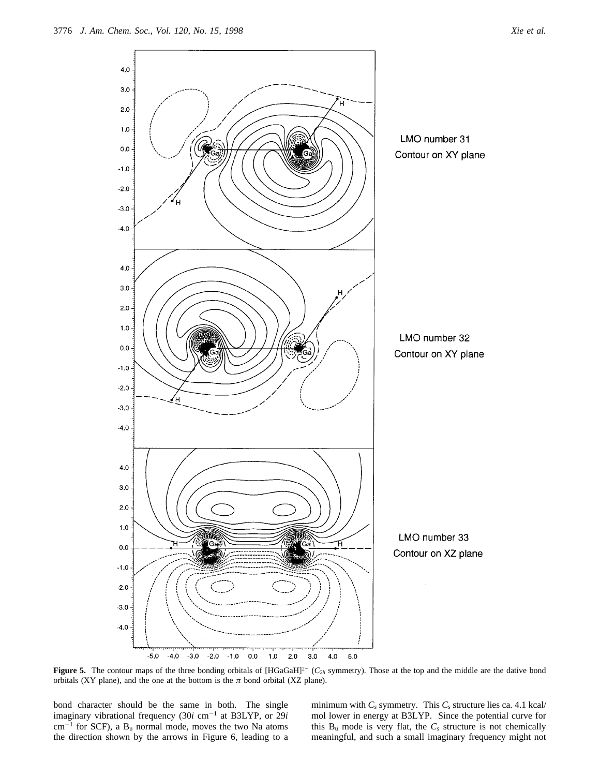

**Figure 5.** The contour maps of the three bonding orbitals of  $[HGaGaH]^{2-}$  ( $C_{2h}$  symmetry). Those at the top and the middle are the dative bond orbitals (XY plane), and the one at the bottom is the *π* bond orbital (XZ plane).

bond character should be the same in both. The single imaginary vibrational frequency (30*i* cm<sup>-1</sup> at B3LYP, or 29*i*  $cm^{-1}$  for SCF), a  $B_u$  normal mode, moves the two Na atoms the direction shown by the arrows in Figure 6, leading to a

minimum with  $C_s$  symmetry. This  $C_s$  structure lies ca. 4.1 kcal/ mol lower in energy at B3LYP. Since the potential curve for this  $B_u$  mode is very flat, the  $C_s$  structure is not chemically meaningful, and such a small imaginary frequency might not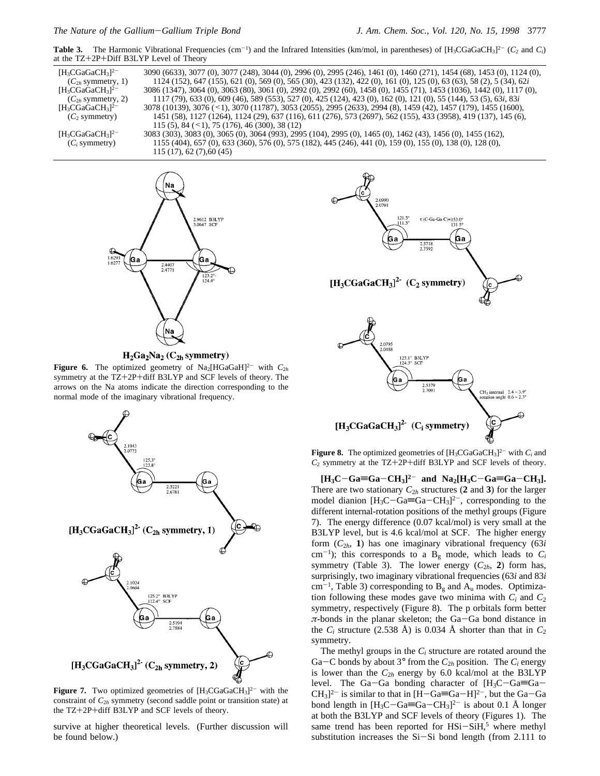**Table 3.** The Harmonic Vibrational Frequencies (cm<sup>-1</sup>) and the Infrared Intensities (km/mol, in parentheses) of  $[H_3CGaGaCH_3]^2$ <sup>-</sup> (*C*<sub>2</sub> and *C<sub>i</sub>*) at the TZ+2P+Diff B3LYP Level of Theory

| $[H_3CGaGaCH_3]^{2-}$<br>$(C_{2h}$ symmetry, 1) | 3090 (6633), 3077 (0), 3077 (248), 3044 (0), 2996 (0), 2995 (246), 1461 (0), 1460 (271), 1454 (68), 1453 (0), 1124 (0),<br>1124 (152), 647 (155), 621 (0), 569 (0), 565 (30), 423 (132), 422 (0), 161 (0), 125 (0), 63 (63), 58 (2), 5 (34), 62i |
|-------------------------------------------------|--------------------------------------------------------------------------------------------------------------------------------------------------------------------------------------------------------------------------------------------------|
| $[H_3CGaGaCH_3]^{2-}$                           | 3086 (1347), 3064 (0), 3063 (80), 3061 (0), 2992 (0), 2992 (60), 1458 (0), 1455 (71), 1453 (1036), 1442 (0), 1117 (0),                                                                                                                           |
| $(C_{2h}$ symmetry, 2)                          | 1117 (79), 633 (0), 609 (46), 589 (553), 527 (0), 425 (124), 423 (0), 162 (0), 121 (0), 55 (144), 53 (5), 63 <i>i</i> , 83 <i>i</i>                                                                                                              |
| $[H_3CGaGaCH_3]^{2-}$                           | 3078 (10139), 3076 (<1), 3070 (11787), 3053 (2055), 2995 (2633), 2994 (8), 1459 (42), 1457 (179), 1455 (1600),                                                                                                                                   |
| (C <sub>2</sub> symmetry)                       | 1451 (58), 1127 (1264), 1124 (29), 637 (116), 611 (276), 573 (2697), 562 (155), 433 (3958), 419 (137), 145 (6),                                                                                                                                  |
|                                                 | 115 (5), 84 ( $\leq$ 1), 75 (176), 46 (300), 38 (12)                                                                                                                                                                                             |
| $[H_3CGaGaCH_3]^{2-}$                           | 3083 (303), 3083 (0), 3065 (0), 3064 (993), 2995 (104), 2995 (0), 1465 (0), 1462 (43), 1456 (0), 1455 (162),                                                                                                                                     |
| $(C_i$ symmetry)                                | 1155 (404), 657 (0), 633 (360), 576 (0), 575 (182), 445 (246), 441 (0), 159 (0), 155 (0), 138 (0), 128 (0),                                                                                                                                      |
|                                                 | 115(17), 62(7), 60(45)                                                                                                                                                                                                                           |



 $H_2Ga_2Na_2(C_{2h}$  symmetry)

**Figure 6.** The optimized geometry of  $\text{Na}_2[\text{HGaGaH}]^{2-}$  with  $C_{2h}$ symmetry at the TZ+2P+diff B3LYP and SCF levels of theory. The arrows on the Na atoms indicate the direction corresponding to the normal mode of the imaginary vibrational frequency.



**Figure 7.** Two optimized geometries of  $[H_3CGaGaCH_3]^{2-}$  with the constraint of  $C_{2h}$  symmetry (second saddle point or transition state) at the TZ+2P+diff B3LYP and SCF levels of theory.

survive at higher theoretical levels. (Further discussion will be found below.)



**Figure 8.** The optimized geometries of  $[H_3CGaGaCH_3]^2$  with  $C_i$  and *<sup>C</sup>*<sup>2</sup> symmetry at the TZ+2P+diff B3LYP and SCF levels of theory.

 $[H_3C-Ga \equiv Ga - CH_3]^2$  and  $Na_2[H_3C-Ga \equiv Ga - CH_3]$ . There are two stationary  $C_{2h}$  structures (2 and 3) for the larger model dianion  $[H_3C-\text{Ga} \equiv \text{Ga}-\text{CH}_3]^2$ , corresponding to the different internal-rotation positions of the methyl groups (Figure 7). The energy difference (0.07 kcal/mol) is very small at the B3LYP level, but is 4.6 kcal/mol at SCF. The higher energy form (*C*<sup>2</sup>*h*, **1**) has one imaginary vibrational frequency (63*i* cm<sup>-1</sup>); this corresponds to a  $B_g$  mode, which leads to  $C_i$ symmetry (Table 3). The lower energy  $(C_{2h}, 2)$  form has, surprisingly, two imaginary vibrational frequencies (63*i* and 83*i*  $cm^{-1}$ , Table 3) corresponding to  $B_g$  and  $A_u$  modes. Optimization following these modes gave two minima with  $C_i$  and  $C_2$ symmetry, respectively (Figure 8). The p orbitals form better *<sup>π</sup>*-bonds in the planar skeleton; the Ga-Ga bond distance in the  $C_i$  structure (2.538 Å) is 0.034 Å shorter than that in  $C_2$ symmetry.

The methyl groups in the *Ci* structure are rotated around the Ga–C bonds by about  $3^\circ$  from the  $C_{2h}$  position. The  $C_i$  energy is lower than the  $C_{2h}$  energy by 6.0 kcal/mol at the B3LYP level. The Ga-Ga bonding character of  $[H_3C-Ga \equiv Ga CH<sub>3</sub>$ <sup>2-</sup> is similar to that in [H-Ga=Ga-H]<sup>2-</sup>, but the Ga-Ga bond length in  $[H_3C-Ga\equiv Ga-CH_3]^{2-}$  is about 0.1 Å longer at both the B3LYP and SCF levels of theory (Figures 1). The same trend has been reported for  $HSi-SiH$ ,<sup>5</sup> where methyl substitution increases the Si-Si bond length (from 2.111 to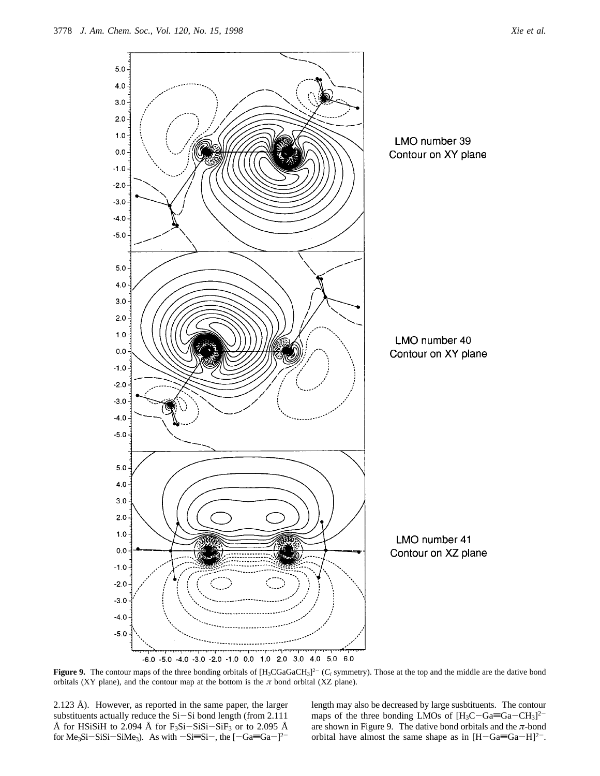

**Figure 9.** The contour maps of the three bonding orbitals of  $[H_3CGGaCH_3]^2$ <sup>-</sup> ( $C_i$  symmetry). Those at the top and the middle are the dative bond orbitals (XY plane), and the contour map at the bottom is the  $\pi$  bond orbital (XZ plane).

2.123 Å). However, as reported in the same paper, the larger substituents actually reduce the Si-Si bond length (from 2.111 Å for HSiSiH to 2.094 Å for  $F_3Si-SiSi-SiF_3$  or to 2.095 Å for Me<sub>3</sub>Si-SiSi-SiMe<sub>3</sub>). As with  $-Si\equiv Si^{-}$ , the  $[-Ga\equiv Ga^{-}]^{2-}$ 

length may also be decreased by large susbtituents. The contour maps of the three bonding LMOs of  $[H_3C-Ga\equiv Ga-CH_3]^{2-}$ are shown in Figure 9. The dative bond orbitals and the *π*-bond orbital have almost the same shape as in  $[H-Ga\equiv Ga-H]^2$ .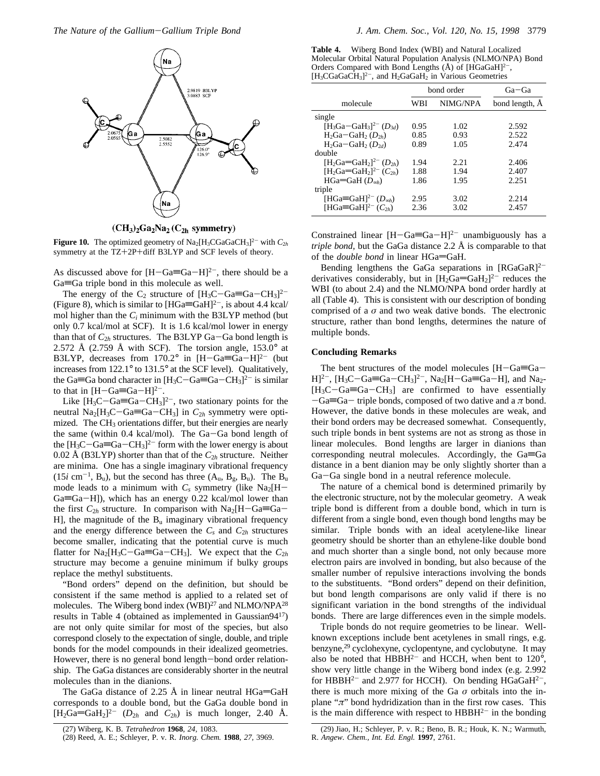

 $(CH_3)_2Ga_2Na_2(C_{2h}$  symmetry)

**Figure 10.** The optimized geometry of  $\text{Na}_2[\text{H}_3\text{CGaGaCH}_3]^2$  with  $C_{2h}$ symmetry at the TZ+2P+diff B3LYP and SCF levels of theory.

As discussed above for  $[H-Ga \equiv Ga-H]^2$ , there should be a  $Ga \equiv Ga$  triple bond in this molecule as well.

The energy of the C<sub>2</sub> structure of  $[H_3C-Ga\equiv Ga-CH_3]^{2-}$ (Figure 8), which is similar to  $[HGa \equiv GaH]^{2-}$ , is about 4.4 kcal/ mol higher than the *Ci* minimum with the B3LYP method (but only 0.7 kcal/mol at SCF). It is 1.6 kcal/mol lower in energy than that of  $C_{2h}$  structures. The B3LYP Ga-Ga bond length is 2.572 Å (2.759 Å with SCF). The torsion angle,  $153.0^{\circ}$  at B3LYP, decreases from  $170.2^{\circ}$  in  $[H-Ga \equiv Ga-H]^{2-}$  (but increases from 122.1° to 131.5° at the SCF level). Qualitatively, the Ga=Ga bond character in  $[H_3C-Ga=Ga-CH_3]^2$  is similar to that in  $[H-Ga=Ga-H]^{2-}$ .

Like  $[H_3C-Ga=Ga-CH_3]^{2-}$ , two stationary points for the neutral  $Na_2[H_3C-Ga \equiv Ga - CH_3]$  in  $C_{2h}$  symmetry were optimized. The CH<sub>3</sub> orientations differ, but their energies are nearly the same (within 0.4 kcal/mol). The Ga-Ga bond length of the  $[H_3C-Ga=Ga-CH_3]^2$  form with the lower energy is about 0.02 Å (B3LYP) shorter than that of the  $C_{2h}$  structure. Neither are minima. One has a single imaginary vibrational frequency  $(15i \text{ cm}^{-1}, \text{B}_u)$ , but the second has three  $(A_u, B_g, B_u)$ . The  $B_u$ mode leads to a minimum with  $C_s$  symmetry (like Na<sub>2</sub>[H- $Ga=Ga-H$ ]), which has an energy 0.22 kcal/mol lower than the first  $C_{2h}$  structure. In comparison with  $Na<sub>2</sub>[H-Ga \equiv Ga -$ H], the magnitude of the  $B_u$  imaginary vibrational frequency and the energy difference between the  $C_s$  and  $C_{2h}$  structures become smaller, indicating that the potential curve is much flatter for  $\text{Na}_2[\text{H}_3\text{C}-\text{Ga} \equiv \text{Ga}-\text{CH}_3]$ . We expect that the  $C_{2h}$ structure may become a genuine minimum if bulky groups replace the methyl substituents.

"Bond orders" depend on the definition, but should be consistent if the same method is applied to a related set of molecules. The Wiberg bond index (WBI)<sup>27</sup> and NLMO/NPA<sup>28</sup> results in Table 4 (obtained as implemented in Gaussian9417) are not only quite similar for most of the species, but also correspond closely to the expectation of single, double, and triple bonds for the model compounds in their idealized geometries. However, there is no general bond length-bond order relationship. The GaGa distances are considerably shorter in the neutral molecules than in the dianions.

The GaGa distance of 2.25 Å in linear neutral  $HGa = GaH$ corresponds to a double bond, but the GaGa double bond in  $[H_2Ga = GaH_2]^{2-}$  ( $D_{2h}$  and  $C_{2h}$ ) is much longer, 2.40 Å.

**Table 4.** Wiberg Bond Index (WBI) and Natural Localized Molecular Orbital Natural Population Analysis (NLMO/NPA) Bond Orders Compared with Bond Lengths (Å) of [HGaGaH]<sup>2-</sup>,  $[H_3CGaGaCH_3]^{2-}$ , and  $H_2GaGaH_2$  in Various Geometries

|                                                                        | bond order |          | $Ga - Ga$      |  |
|------------------------------------------------------------------------|------------|----------|----------------|--|
| molecule                                                               | WBI        | NIMG/NPA | bond length, A |  |
| single                                                                 |            |          |                |  |
| $[H_3Ga-GaH_3]^{2-} (D_{3d})$                                          | 0.95       | 1.02     | 2.592          |  |
| $H_2Ga-GaH_2(D_{2h})$                                                  | 0.85       | 0.93     | 2.522          |  |
| $H_2Ga-GaH_2(D_2d)$                                                    | 0.89       | 1.05     | 2.474          |  |
| double                                                                 |            |          |                |  |
| [H <sub>2</sub> Ga=GaH <sub>2</sub> ] <sup>2-</sup> (D <sub>2h</sub> ) | 1.94       | 2.21     | 2.406          |  |
| [H <sub>2</sub> Ga=GaH <sub>2</sub> ] <sup>2-</sup> (C <sub>2h</sub> ) | 1.88       | 1.94     | 2.407          |  |
| $HGa = GAH(Dsoh)$                                                      | 1.86       | 1.95     | 2.251          |  |
| triple                                                                 |            |          |                |  |
| [HGa $\equiv$ GaH] <sup>2-</sup> (D <sub>ssh</sub> )                   | 2.95       | 3.02     | 2.214          |  |
| [HGa=GaH] <sup>2-</sup> $(C_{2h})$                                     | 2.36       | 3.02     | 2.457          |  |

Constrained linear  $[H-Ga \equiv Ga-H]^2$  unambiguously has a *triple bond,* but the GaGa distance 2.2 Å is comparable to that of the *double bond* in linear HGa=GaH.

Bending lengthens the GaGa separations in  $[RGaGaR]^{2-}$ derivatives considerably, but in  $[H_2Ga=GaH_2]^{2-}$  reduces the WBI (to about 2.4) and the NLMO/NPA bond order hardly at all (Table 4). This is consistent with our description of bonding comprised of a  $\sigma$  and two weak dative bonds. The electronic structure, rather than bond lengths, determines the nature of multiple bonds.

## **Concluding Remarks**

The bent structures of the model molecules  $[H-Ga \equiv Ga H]^{2-}$ ,  $[H_3C-Ga \equiv Ga - CH_3]^{2-}$ ,  $Na_2[H-Ga \equiv Ga-H]$ , and  $Na_2$ - $[H_3C-Ga=Ga-CH_3]$  are confirmed to have essentially  $-Ga \equiv Ga$  triple bonds, composed of two dative and a  $\pi$  bond. However, the dative bonds in these molecules are weak, and their bond orders may be decreased somewhat. Consequently, such triple bonds in bent systems are not as strong as those in linear molecules. Bond lengths are larger in dianions than corresponding neutral molecules. Accordingly, the  $Ga \equiv Ga$ distance in a bent dianion may be only slightly shorter than a Ga-Ga single bond in a neutral reference molecule.

The nature of a chemical bond is determined primarily by the electronic structure, not by the molecular geometry. A weak triple bond is different from a double bond, which in turn is different from a single bond, even though bond lengths may be similar. Triple bonds with an ideal acetylene-like linear geometry should be shorter than an ethylene-like double bond and much shorter than a single bond, not only because more electron pairs are involved in bonding, but also because of the smaller number of repulsive interactions involving the bonds to the substituents. "Bond orders" depend on their definition, but bond length comparisons are only valid if there is no significant variation in the bond strengths of the individual bonds. There are large differences even in the simple models.

Triple bonds do not require geometries to be linear. Wellknown exceptions include bent acetylenes in small rings, e.g. benzyne,<sup>29</sup> cyclohexyne, cyclopentyne, and cyclobutyne. It may also be noted that  $HBBH^{2-}$  and HCCH, when bent to  $120^{\circ}$ , show very little change in the Wiberg bond index (e.g. 2.992 for HBBH<sup>2-</sup> and 2.977 for HCCH). On bending HGaGaH<sup>2-</sup>, there is much more mixing of the Ga  $\sigma$  orbitals into the inplane " $\pi$ " bond hydridization than in the first row cases. This is the main difference with respect to  $HBBH^{2-}$  in the bonding

<sup>(27)</sup> Wiberg, K. B. *Tetrahedron* **1968**, *24,* 1083.

<sup>(28)</sup> Reed, A. E.; Schleyer, P. v. R. *Inorg. Chem.* **1988**, *27*, 3969.

<sup>(29)</sup> Jiao, H.; Schleyer, P. v. R.; Beno, B. R.; Houk, K. N.; Warmuth, R. *Angew. Chem., Int. Ed. Engl.* **1997**, 2761.